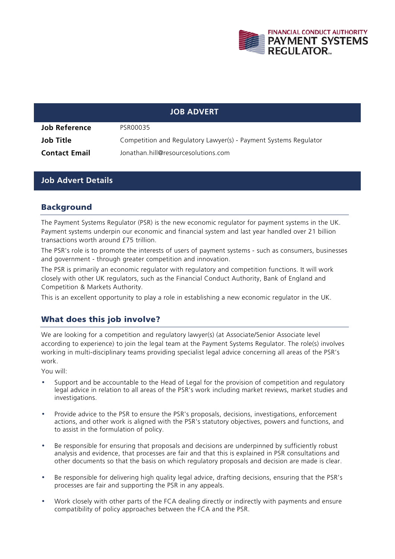

|                      | <b>JOB ADVERT</b>                                                |
|----------------------|------------------------------------------------------------------|
| <b>Job Reference</b> | PSR00035                                                         |
| <b>Job Title</b>     | Competition and Regulatory Lawyer(s) - Payment Systems Regulator |
| <b>Contact Email</b> | Jonathan.hill@resourcesolutions.com                              |

#### **Job Advert Details**

#### Background

The Payment Systems Regulator (PSR) is the new economic regulator for payment systems in the UK. Payment systems underpin our economic and financial system and last year handled over 21 billion transactions worth around £75 trillion.

The PSR's role is to promote the interests of users of payment systems - such as consumers, businesses and government - through greater competition and innovation.

The PSR is primarily an economic regulator with regulatory and competition functions. It will work closely with other UK regulators, such as the Financial Conduct Authority, Bank of England and Competition & Markets Authority.

This is an excellent opportunity to play a role in establishing a new economic regulator in the UK.

#### What does this job involve?

We are looking for a competition and regulatory lawyer(s) (at Associate/Senior Associate level according to experience) to join the legal team at the Payment Systems Regulator. The role(s) involves working in multi-disciplinary teams providing specialist legal advice concerning all areas of the PSR's work.

You will:

- Support and be accountable to the Head of Legal for the provision of competition and regulatory legal advice in relation to all areas of the PSR's work including market reviews, market studies and investigations.
- Provide advice to the PSR to ensure the PSR's proposals, decisions, investigations, enforcement actions, and other work is aligned with the PSR's statutory objectives, powers and functions, and to assist in the formulation of policy.
- Be responsible for ensuring that proposals and decisions are underpinned by sufficiently robust analysis and evidence, that processes are fair and that this is explained in PSR consultations and other documents so that the basis on which regulatory proposals and decision are made is clear.
- Be responsible for delivering high quality legal advice, drafting decisions, ensuring that the PSR's processes are fair and supporting the PSR in any appeals.
- Work closely with other parts of the FCA dealing directly or indirectly with payments and ensure compatibility of policy approaches between the FCA and the PSR.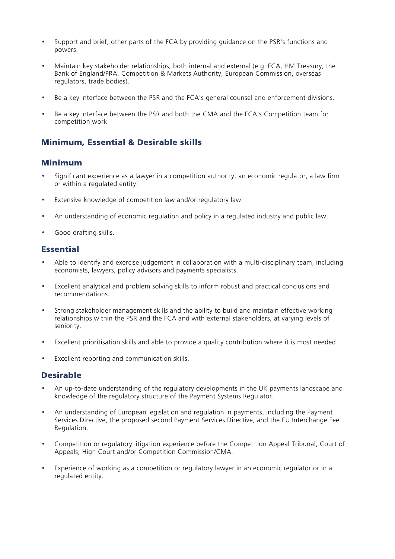- Support and brief, other parts of the FCA by providing guidance on the PSR's functions and powers.
- Maintain key stakeholder relationships, both internal and external (e.g. FCA, HM Treasury, the Bank of England/PRA, Competition & Markets Authority, European Commission, overseas regulators, trade bodies).
- Be a key interface between the PSR and the FCA's general counsel and enforcement divisions.
- Be a key interface between the PSR and both the CMA and the FCA's Competition team for competition work

# Minimum, Essential & Desirable skills

### Minimum

- Significant experience as a lawyer in a competition authority, an economic regulator, a law firm or within a regulated entity.
- Extensive knowledge of competition law and/or regulatory law.
- An understanding of economic regulation and policy in a regulated industry and public law.
- Good drafting skills.

# **Essential**

- Able to identify and exercise judgement in collaboration with a multi-disciplinary team, including economists, lawyers, policy advisors and payments specialists.
- Excellent analytical and problem solving skills to inform robust and practical conclusions and recommendations.
- Strong stakeholder management skills and the ability to build and maintain effective working relationships within the PSR and the FCA and with external stakeholders, at varying levels of seniority.
- Excellent prioritisation skills and able to provide a quality contribution where it is most needed.
- Excellent reporting and communication skills.

# Desirable

- An up-to-date understanding of the regulatory developments in the UK payments landscape and knowledge of the regulatory structure of the Payment Systems Regulator.
- An understanding of European legislation and regulation in payments, including the Payment Services Directive, the proposed second Payment Services Directive, and the EU Interchange Fee Regulation.
- Competition or regulatory litigation experience before the Competition Appeal Tribunal, Court of Appeals, High Court and/or Competition Commission/CMA.
- Experience of working as a competition or regulatory lawyer in an economic regulator or in a regulated entity.